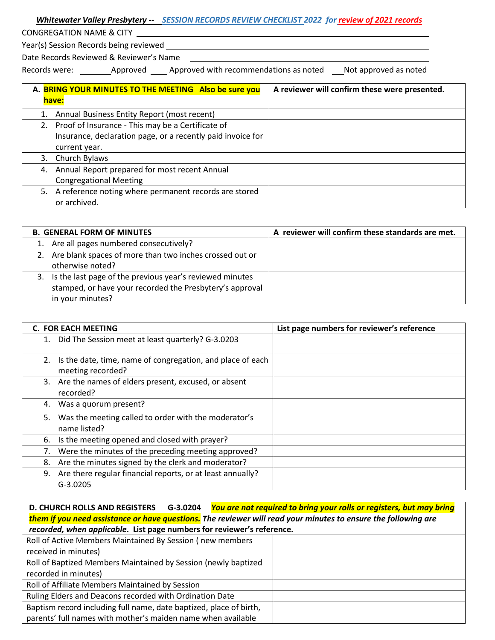| Whitewater Valley Presbytery -- SESSION RECORDS REVIEW CHECKLIST 2022 for review of 2021 records |  |  |
|--------------------------------------------------------------------------------------------------|--|--|
|                                                                                                  |  |  |

CONGREGATION NAME & CITY

Year(s) Session Records being reviewed

Date Records Reviewed & Reviewer's Name

Records were: Approved Approved with recommendations as noted Not approved as noted

| A. BRING YOUR MINUTES TO THE MEETING Also be sure you<br>have: | A reviewer will confirm these were presented. |
|----------------------------------------------------------------|-----------------------------------------------|
| 1. Annual Business Entity Report (most recent)                 |                                               |
| 2. Proof of Insurance - This may be a Certificate of           |                                               |
| Insurance, declaration page, or a recently paid invoice for    |                                               |
| current year.                                                  |                                               |
| 3. Church Bylaws                                               |                                               |
| 4. Annual Report prepared for most recent Annual               |                                               |
| <b>Congregational Meeting</b>                                  |                                               |
| 5. A reference noting where permanent records are stored       |                                               |
| or archived.                                                   |                                               |

| <b>B. GENERAL FORM OF MINUTES</b>                           | A reviewer will confirm these standards are met. |
|-------------------------------------------------------------|--------------------------------------------------|
| 1. Are all pages numbered consecutively?                    |                                                  |
| 2. Are blank spaces of more than two inches crossed out or  |                                                  |
| otherwise noted?                                            |                                                  |
| 3. Is the last page of the previous year's reviewed minutes |                                                  |
| stamped, or have your recorded the Presbytery's approval    |                                                  |
| in your minutes?                                            |                                                  |

|    | <b>C. FOR EACH MEETING</b>                                                      | List page numbers for reviewer's reference |
|----|---------------------------------------------------------------------------------|--------------------------------------------|
|    | 1. Did The Session meet at least quarterly? G-3.0203                            |                                            |
| 2. | Is the date, time, name of congregation, and place of each<br>meeting recorded? |                                            |
| 3. | Are the names of elders present, excused, or absent<br>recorded?                |                                            |
| 4. | Was a quorum present?                                                           |                                            |
| 5. | Was the meeting called to order with the moderator's<br>name listed?            |                                            |
| 6. | Is the meeting opened and closed with prayer?                                   |                                            |
|    | Were the minutes of the preceding meeting approved?                             |                                            |
| 8. | Are the minutes signed by the clerk and moderator?                              |                                            |
| 9. | Are there regular financial reports, or at least annually?<br>$G-3.0205$        |                                            |

| D. CHURCH ROLLS AND REGISTERS G-3.0204 You are not required to bring your rolls or registers, but may bring    |  |  |
|----------------------------------------------------------------------------------------------------------------|--|--|
| them if you need assistance or have questions. The reviewer will read your minutes to ensure the following are |  |  |
| recorded, when applicable. List page numbers for reviewer's reference.                                         |  |  |
| Roll of Active Members Maintained By Session (new members                                                      |  |  |
| received in minutes)                                                                                           |  |  |
| Roll of Baptized Members Maintained by Session (newly baptized                                                 |  |  |
| recorded in minutes)                                                                                           |  |  |
| Roll of Affiliate Members Maintained by Session                                                                |  |  |
| Ruling Elders and Deacons recorded with Ordination Date                                                        |  |  |
| Baptism record including full name, date baptized, place of birth,                                             |  |  |
| parents' full names with mother's maiden name when available                                                   |  |  |